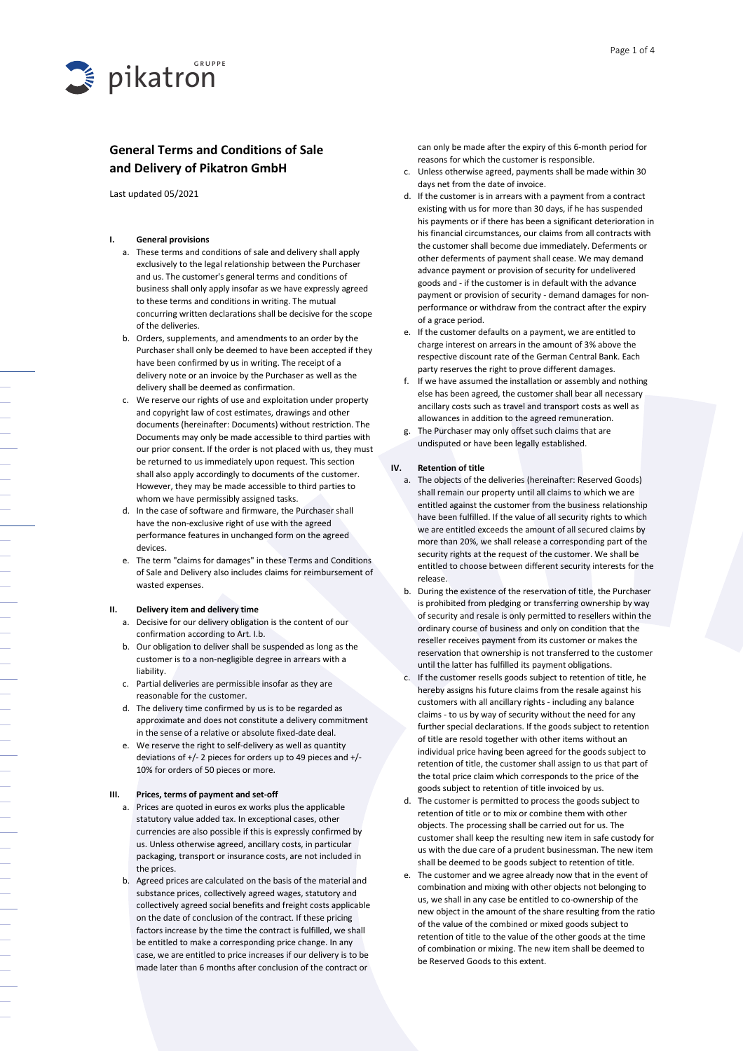

# General Terms and Conditions of Sale and Delivery of Pikatron GmbH

Last updated 05/2021

# I. General provisions

- a. These terms and conditions of sale and delivery shall apply exclusively to the legal relationship between the Purchaser and us. The customer's general terms and conditions of business shall only apply insofar as we have expressly agreed to these terms and conditions in writing. The mutual concurring written declarations shall be decisive for the scope of the deliveries.
- b. Orders, supplements, and amendments to an order by the Purchaser shall only be deemed to have been accepted if they have been confirmed by us in writing. The receipt of a delivery note or an invoice by the Purchaser as well as the delivery shall be deemed as confirmation.
- c. We reserve our rights of use and exploitation under property and copyright law of cost estimates, drawings and other documents (hereinafter: Documents) without restriction. The Documents may only be made accessible to third parties with our prior consent. If the order is not placed with us, they must be returned to us immediately upon request. This section shall also apply accordingly to documents of the customer. However, they may be made accessible to third parties to whom we have permissibly assigned tasks.
- d. In the case of software and firmware, the Purchaser shall have the non-exclusive right of use with the agreed performance features in unchanged form on the agreed devices.
- e. The term "claims for damages" in these Terms and Conditions of Sale and Delivery also includes claims for reimbursement of wasted expenses.

# II. Delivery item and delivery time

- a. Decisive for our delivery obligation is the content of our confirmation according to Art. I.b.
- b. Our obligation to deliver shall be suspended as long as the customer is to a non-negligible degree in arrears with a liability.
- c. Partial deliveries are permissible insofar as they are reasonable for the customer.
- d. The delivery time confirmed by us is to be regarded as approximate and does not constitute a delivery commitment in the sense of a relative or absolute fixed-date deal.
- e. We reserve the right to self-delivery as well as quantity deviations of +/- 2 pieces for orders up to 49 pieces and +/- 10% for orders of 50 pieces or more.

#### III. Prices, terms of payment and set-off

- a. Prices are quoted in euros ex works plus the applicable statutory value added tax. In exceptional cases, other currencies are also possible if this is expressly confirmed by us. Unless otherwise agreed, ancillary costs, in particular packaging, transport or insurance costs, are not included in the prices.
- b. Agreed prices are calculated on the basis of the material and substance prices, collectively agreed wages, statutory and collectively agreed social benefits and freight costs applicable on the date of conclusion of the contract. If these pricing factors increase by the time the contract is fulfilled, we shall be entitled to make a corresponding price change. In any case, we are entitled to price increases if our delivery is to be made later than 6 months after conclusion of the contract or

can only be made after the expiry of this 6-month period for reasons for which the customer is responsible.

- c. Unless otherwise agreed, payments shall be made within 30 days net from the date of invoice.
- d. If the customer is in arrears with a payment from a contract existing with us for more than 30 days, if he has suspended his payments or if there has been a significant deterioration in his financial circumstances, our claims from all contracts with the customer shall become due immediately. Deferments or other deferments of payment shall cease. We may demand advance payment or provision of security for undelivered goods and - if the customer is in default with the advance payment or provision of security - demand damages for nonperformance or withdraw from the contract after the expiry of a grace period.
- e. If the customer defaults on a payment, we are entitled to charge interest on arrears in the amount of 3% above the respective discount rate of the German Central Bank. Each party reserves the right to prove different damages.
- f. If we have assumed the installation or assembly and nothing else has been agreed, the customer shall bear all necessary ancillary costs such as travel and transport costs as well as allowances in addition to the agreed remuneration.
- g. The Purchaser may only offset such claims that are undisputed or have been legally established.

### IV. Retention of title

- a. The objects of the deliveries (hereinafter: Reserved Goods) shall remain our property until all claims to which we are entitled against the customer from the business relationship have been fulfilled. If the value of all security rights to which we are entitled exceeds the amount of all secured claims by more than 20%, we shall release a corresponding part of the security rights at the request of the customer. We shall be entitled to choose between different security interests for the release.
- b. During the existence of the reservation of title, the Purchaser is prohibited from pledging or transferring ownership by way of security and resale is only permitted to resellers within the ordinary course of business and only on condition that the reseller receives payment from its customer or makes the reservation that ownership is not transferred to the customer until the latter has fulfilled its payment obligations.
- c. If the customer resells goods subject to retention of title, he hereby assigns his future claims from the resale against his customers with all ancillary rights - including any balance claims - to us by way of security without the need for any further special declarations. If the goods subject to retention of title are resold together with other items without an individual price having been agreed for the goods subject to retention of title, the customer shall assign to us that part of the total price claim which corresponds to the price of the goods subject to retention of title invoiced by us.
- d. The customer is permitted to process the goods subject to retention of title or to mix or combine them with other objects. The processing shall be carried out for us. The customer shall keep the resulting new item in safe custody for us with the due care of a prudent businessman. The new item shall be deemed to be goods subject to retention of title.
- e. The customer and we agree already now that in the event of combination and mixing with other objects not belonging to us, we shall in any case be entitled to co-ownership of the new object in the amount of the share resulting from the ratio of the value of the combined or mixed goods subject to retention of title to the value of the other goods at the time of combination or mixing. The new item shall be deemed to be Reserved Goods to this extent.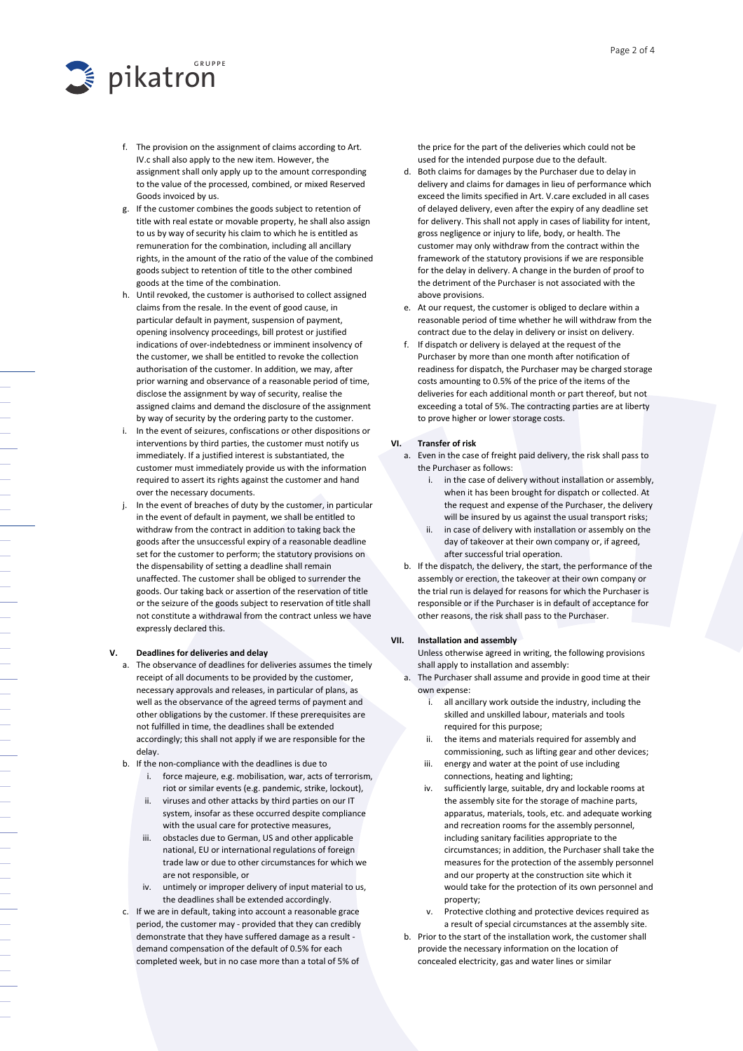

- f. The provision on the assignment of claims according to Art. IV.c shall also apply to the new item. However, the assignment shall only apply up to the amount corresponding to the value of the processed, combined, or mixed Reserved Goods invoiced by us.
- g. If the customer combines the goods subject to retention of title with real estate or movable property, he shall also assign to us by way of security his claim to which he is entitled as remuneration for the combination, including all ancillary rights, in the amount of the ratio of the value of the combined goods subject to retention of title to the other combined goods at the time of the combination.
- h. Until revoked, the customer is authorised to collect assigned claims from the resale. In the event of good cause, in particular default in payment, suspension of payment, opening insolvency proceedings, bill protest or justified indications of over-indebtedness or imminent insolvency of the customer, we shall be entitled to revoke the collection authorisation of the customer. In addition, we may, after prior warning and observance of a reasonable period of time, disclose the assignment by way of security, realise the assigned claims and demand the disclosure of the assignment by way of security by the ordering party to the customer.
- i. In the event of seizures, confiscations or other dispositions or interventions by third parties, the customer must notify us immediately. If a justified interest is substantiated, the customer must immediately provide us with the information required to assert its rights against the customer and hand over the necessary documents.
- j. In the event of breaches of duty by the customer, in particular in the event of default in payment, we shall be entitled to withdraw from the contract in addition to taking back the goods after the unsuccessful expiry of a reasonable deadline set for the customer to perform; the statutory provisions on the dispensability of setting a deadline shall remain unaffected. The customer shall be obliged to surrender the goods. Our taking back or assertion of the reservation of title or the seizure of the goods subject to reservation of title shall not constitute a withdrawal from the contract unless we have expressly declared this.

#### V. Deadlines for deliveries and delay

- a. The observance of deadlines for deliveries assumes the timely receipt of all documents to be provided by the customer, necessary approvals and releases, in particular of plans, as well as the observance of the agreed terms of payment and other obligations by the customer. If these prerequisites are not fulfilled in time, the deadlines shall be extended accordingly; this shall not apply if we are responsible for the delay.
- b. If the non-compliance with the deadlines is due to
	- i. force majeure, e.g. mobilisation, war, acts of terrorism, riot or similar events (e.g. pandemic, strike, lockout),
	- ii. viruses and other attacks by third parties on our IT system, insofar as these occurred despite compliance with the usual care for protective measures,
	- iii. obstacles due to German, US and other applicable national, EU or international regulations of foreign trade law or due to other circumstances for which we are not responsible, or
	- iv. untimely or improper delivery of input material to us, the deadlines shall be extended accordingly.
- c. If we are in default, taking into account a reasonable grace period, the customer may - provided that they can credibly demonstrate that they have suffered damage as a result demand compensation of the default of 0.5% for each completed week, but in no case more than a total of 5% of

the price for the part of the deliveries which could not be used for the intended purpose due to the default.

- d. Both claims for damages by the Purchaser due to delay in delivery and claims for damages in lieu of performance which exceed the limits specified in Art. V.care excluded in all cases of delayed delivery, even after the expiry of any deadline set for delivery. This shall not apply in cases of liability for intent, gross negligence or injury to life, body, or health. The customer may only withdraw from the contract within the framework of the statutory provisions if we are responsible for the delay in delivery. A change in the burden of proof to the detriment of the Purchaser is not associated with the above provisions.
- e. At our request, the customer is obliged to declare within a reasonable period of time whether he will withdraw from the contract due to the delay in delivery or insist on delivery.
- f. If dispatch or delivery is delayed at the request of the Purchaser by more than one month after notification of readiness for dispatch, the Purchaser may be charged storage costs amounting to 0.5% of the price of the items of the deliveries for each additional month or part thereof, but not exceeding a total of 5%. The contracting parties are at liberty to prove higher or lower storage costs.

#### VI. Transfer of risk

- a. Even in the case of freight paid delivery, the risk shall pass to the Purchaser as follows:
	- i. in the case of delivery without installation or assembly, when it has been brought for dispatch or collected. At the request and expense of the Purchaser, the delivery will be insured by us against the usual transport risks;
	- ii. in case of delivery with installation or assembly on the day of takeover at their own company or, if agreed, after successful trial operation.
- b. If the dispatch, the delivery, the start, the performance of the assembly or erection, the takeover at their own company or the trial run is delayed for reasons for which the Purchaser is responsible or if the Purchaser is in default of acceptance for other reasons, the risk shall pass to the Purchaser.

#### VII. Installation and assembly

Unless otherwise agreed in writing, the following provisions shall apply to installation and assembly:

- a. The Purchaser shall assume and provide in good time at their own expense:
	- i. all ancillary work outside the industry, including the skilled and unskilled labour, materials and tools required for this purpose;
	- the items and materials required for assembly and commissioning, such as lifting gear and other devices;
	- iii. energy and water at the point of use including connections, heating and lighting;
	- iv. sufficiently large, suitable, dry and lockable rooms at the assembly site for the storage of machine parts, apparatus, materials, tools, etc. and adequate working and recreation rooms for the assembly personnel, including sanitary facilities appropriate to the circumstances; in addition, the Purchaser shall take the measures for the protection of the assembly personnel and our property at the construction site which it would take for the protection of its own personnel and property;
	- v. Protective clothing and protective devices required as a result of special circumstances at the assembly site.
- b. Prior to the start of the installation work, the customer shall provide the necessary information on the location of concealed electricity, gas and water lines or similar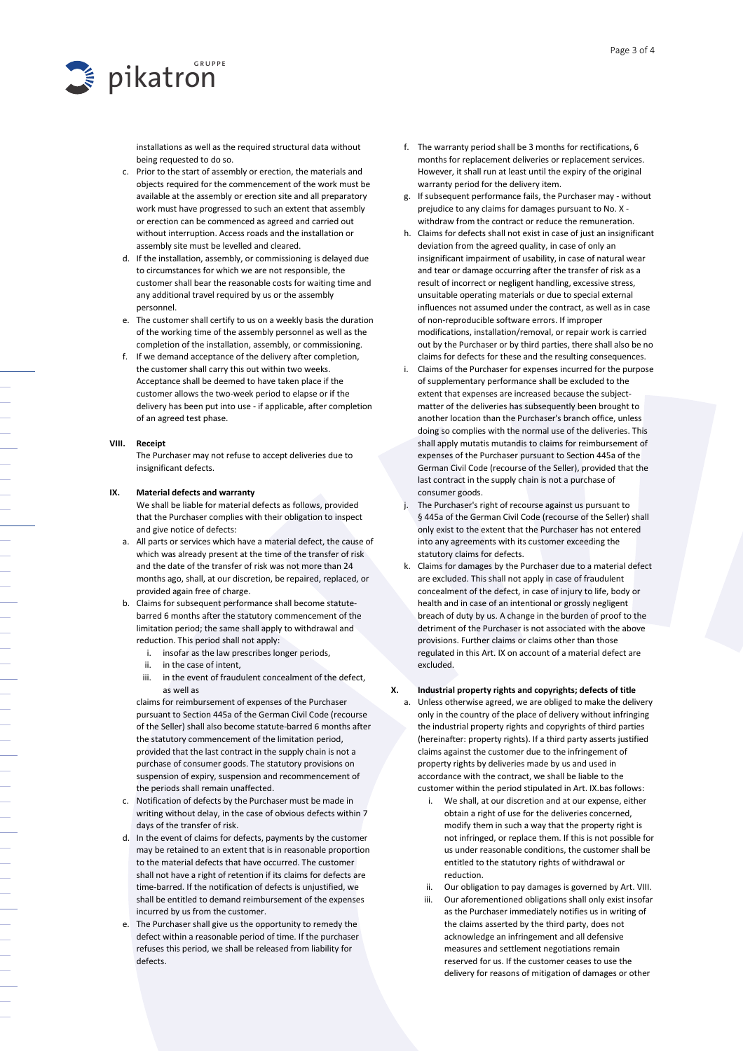

installations as well as the required structural data without being requested to do so.

- c. Prior to the start of assembly or erection, the materials and objects required for the commencement of the work must be available at the assembly or erection site and all preparatory work must have progressed to such an extent that assembly or erection can be commenced as agreed and carried out without interruption. Access roads and the installation or assembly site must be levelled and cleared.
- d. If the installation, assembly, or commissioning is delayed due to circumstances for which we are not responsible, the customer shall bear the reasonable costs for waiting time and any additional travel required by us or the assembly personnel.
- e. The customer shall certify to us on a weekly basis the duration of the working time of the assembly personnel as well as the completion of the installation, assembly, or commissioning.
- f. If we demand acceptance of the delivery after completion, the customer shall carry this out within two weeks. Acceptance shall be deemed to have taken place if the customer allows the two-week period to elapse or if the delivery has been put into use - if applicable, after completion of an agreed test phase.

#### VIII. Receipt

The Purchaser may not refuse to accept deliveries due to insignificant defects.

#### IX. Material defects and warranty

We shall be liable for material defects as follows, provided that the Purchaser complies with their obligation to inspect and give notice of defects:

- a. All parts or services which have a material defect, the cause of which was already present at the time of the transfer of risk and the date of the transfer of risk was not more than 24 months ago, shall, at our discretion, be repaired, replaced, or provided again free of charge.
- b. Claims for subsequent performance shall become statutebarred 6 months after the statutory commencement of the limitation period; the same shall apply to withdrawal and reduction. This period shall not apply:
	- i. insofar as the law prescribes longer periods,
	- ii. in the case of intent,
	- iii. in the event of fraudulent concealment of the defect, as well as

claims for reimbursement of expenses of the Purchaser pursuant to Section 445a of the German Civil Code (recourse of the Seller) shall also become statute-barred 6 months after the statutory commencement of the limitation period, provided that the last contract in the supply chain is not a purchase of consumer goods. The statutory provisions on suspension of expiry, suspension and recommencement of the periods shall remain unaffected.

- c. Notification of defects by the Purchaser must be made in writing without delay, in the case of obvious defects within 7 days of the transfer of risk.
- d. In the event of claims for defects, payments by the customer may be retained to an extent that is in reasonable proportion to the material defects that have occurred. The customer shall not have a right of retention if its claims for defects are time-barred. If the notification of defects is unjustified, we shall be entitled to demand reimbursement of the expenses incurred by us from the customer.
- e. The Purchaser shall give us the opportunity to remedy the defect within a reasonable period of time. If the purchaser refuses this period, we shall be released from liability for defects.
- f. The warranty period shall be 3 months for rectifications, 6 months for replacement deliveries or replacement services. However, it shall run at least until the expiry of the original warranty period for the delivery item.
- g. If subsequent performance fails, the Purchaser may without prejudice to any claims for damages pursuant to No. X withdraw from the contract or reduce the remuneration.
- h. Claims for defects shall not exist in case of just an insignificant deviation from the agreed quality, in case of only an insignificant impairment of usability, in case of natural wear and tear or damage occurring after the transfer of risk as a result of incorrect or negligent handling, excessive stress, unsuitable operating materials or due to special external influences not assumed under the contract, as well as in case of non-reproducible software errors. If improper modifications, installation/removal, or repair work is carried out by the Purchaser or by third parties, there shall also be no claims for defects for these and the resulting consequences.
- i. Claims of the Purchaser for expenses incurred for the purpose of supplementary performance shall be excluded to the extent that expenses are increased because the subjectmatter of the deliveries has subsequently been brought to another location than the Purchaser's branch office, unless doing so complies with the normal use of the deliveries. This shall apply mutatis mutandis to claims for reimbursement of expenses of the Purchaser pursuant to Section 445a of the German Civil Code (recourse of the Seller), provided that the last contract in the supply chain is not a purchase of consumer goods.
- j. The Purchaser's right of recourse against us pursuant to § 445a of the German Civil Code (recourse of the Seller) shall only exist to the extent that the Purchaser has not entered into any agreements with its customer exceeding the statutory claims for defects.
- k. Claims for damages by the Purchaser due to a material defect are excluded. This shall not apply in case of fraudulent concealment of the defect, in case of injury to life, body or health and in case of an intentional or grossly negligent breach of duty by us. A change in the burden of proof to the detriment of the Purchaser is not associated with the above provisions. Further claims or claims other than those regulated in this Art. IX on account of a material defect are excluded.

# X. Industrial property rights and copyrights; defects of title

a. Unless otherwise agreed, we are obliged to make the delivery only in the country of the place of delivery without infringing the industrial property rights and copyrights of third parties (hereinafter: property rights). If a third party asserts justified claims against the customer due to the infringement of property rights by deliveries made by us and used in accordance with the contract, we shall be liable to the customer within the period stipulated in Art. IX.bas follows:

- i. We shall, at our discretion and at our expense, either obtain a right of use for the deliveries concerned, modify them in such a way that the property right is not infringed, or replace them. If this is not possible for us under reasonable conditions, the customer shall be entitled to the statutory rights of withdrawal or reduction.
- ii. Our obligation to pay damages is governed by Art. VIII.
- iii. Our aforementioned obligations shall only exist insofar as the Purchaser immediately notifies us in writing of the claims asserted by the third party, does not acknowledge an infringement and all defensive measures and settlement negotiations remain reserved for us. If the customer ceases to use the delivery for reasons of mitigation of damages or other